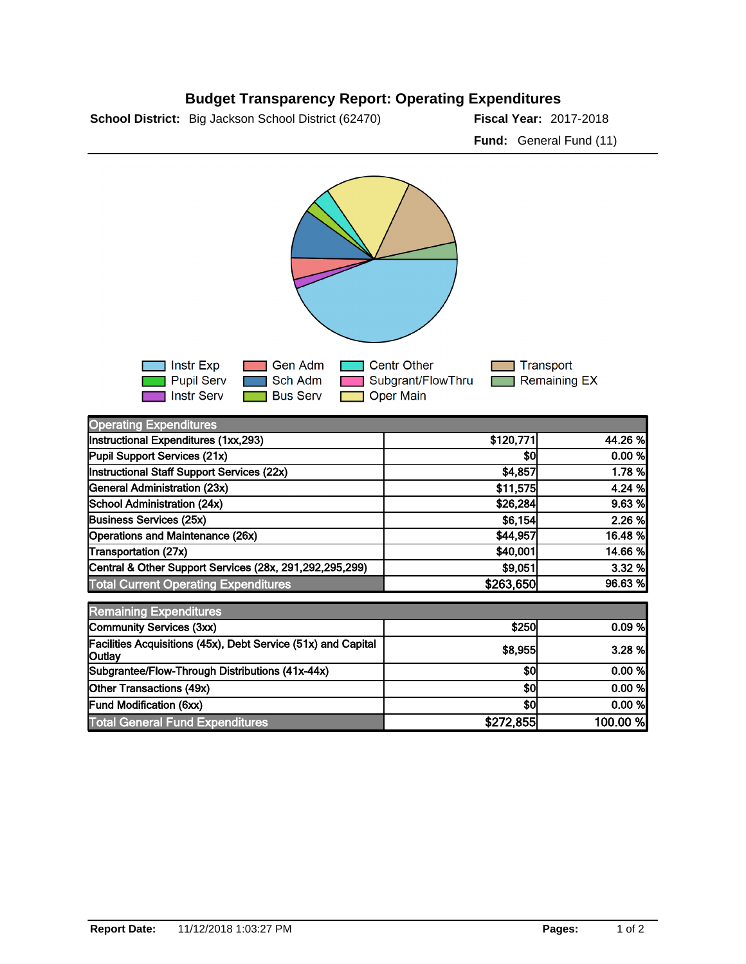## **Budget Transparency Report: Operating Expenditures**

**School District:** Big Jackson School District (62470) **Piscal Year:** 2017-2018

**Fund:** General Fund (11)



| <b>Operating Expenditures</b>                                           |           |          |
|-------------------------------------------------------------------------|-----------|----------|
| Instructional Expenditures (1xx,293)                                    | \$120,771 | 44.26 %  |
| Pupil Support Services (21x)                                            | \$0       | 0.00 %   |
| Instructional Staff Support Services (22x)                              | \$4,857   | 1.78 %   |
| General Administration (23x)                                            | \$11,575  | 4.24 %   |
| School Administration (24x)                                             | \$26,284  | 9.63%    |
| <b>Business Services (25x)</b>                                          | \$6,154   | 2.26 %   |
| Operations and Maintenance (26x)                                        | \$44,957  | 16.48 %  |
| Transportation (27x)                                                    | \$40,001  | 14.66 %  |
| Central & Other Support Services (28x, 291,292,295,299)                 | \$9,051   | 3.32%    |
| <b>Total Current Operating Expenditures</b>                             | \$263,650 | 96.63 %  |
| <b>Remaining Expenditures</b>                                           |           |          |
| Community Services (3xx)                                                | \$250     | 0.09%    |
| Facilities Acquisitions (45x), Debt Service (51x) and Capital<br>Outlay | \$8,955   | 3.28 %   |
| Subgrantee/Flow-Through Distributions (41x-44x)                         | \$0       | 0.00 %   |
| Other Transactions (49x)                                                | \$0       | 0.00 %   |
| <b>Fund Modification (6xx)</b>                                          | \$0       | 0.00%    |
| <b>Total General Fund Expenditures</b>                                  | \$272,855 | 100.00 % |